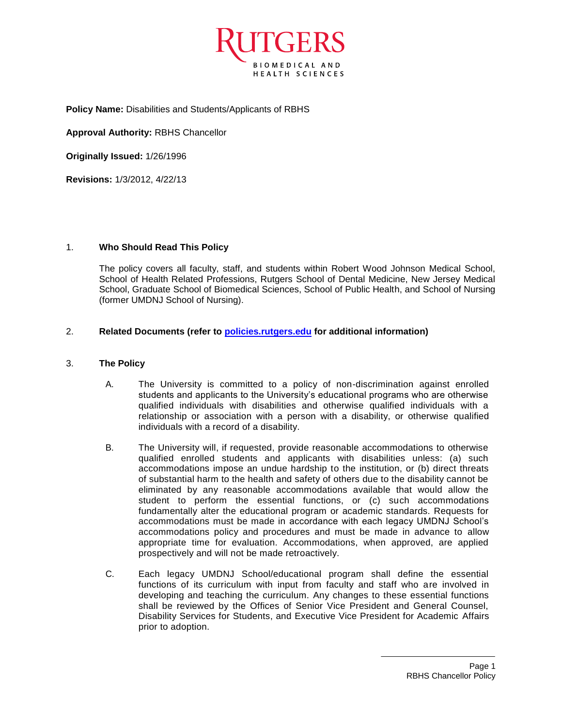

**Policy Name:** Disabilities and Students/Applicants of RBHS

**Approval Authority:** RBHS Chancellor

**Originally Issued:** 1/26/1996

**Revisions:** 1/3/2012, 4/22/13

# 1. **Who Should Read This Policy**

The policy covers all faculty, staff, and students within Robert Wood Johnson Medical School, School of Health Related Professions, Rutgers School of Dental Medicine, New Jersey Medical School, Graduate School of Biomedical Sciences, School of Public Health, and School of Nursing (former UMDNJ School of Nursing).

# 2. **Related Documents (refer to<policies.rutgers.edu> for additional information)**

### 3. **The Policy**

- A. The University is committed to a policy of non-discrimination against enrolled students and applicants to the University's educational programs who are otherwise qualified individuals with disabilities and otherwise qualified individuals with a relationship or association with a person with a disability, or otherwise qualified individuals with a record of a disability.
- B. The University will, if requested, provide reasonable accommodations to otherwise qualified enrolled students and applicants with disabilities unless: (a) such accommodations impose an undue hardship to the institution, or (b) direct threats of substantial harm to the health and safety of others due to the disability cannot be eliminated by any reasonable accommodations available that would allow the student to perform the essential functions, or (c) such accommodations fundamentally alter the educational program or academic standards. Requests for accommodations must be made in accordance with each legacy UMDNJ School's accommodations policy and procedures and must be made in advance to allow appropriate time for evaluation. Accommodations, when approved, are applied prospectively and will not be made retroactively.
- C. Each legacy UMDNJ School/educational program shall define the essential functions of its curriculum with input from faculty and staff who are involved in developing and teaching the curriculum. Any changes to these essential functions shall be reviewed by the Offices of Senior Vice President and General Counsel, Disability Services for Students, and Executive Vice President for Academic Affairs prior to adoption.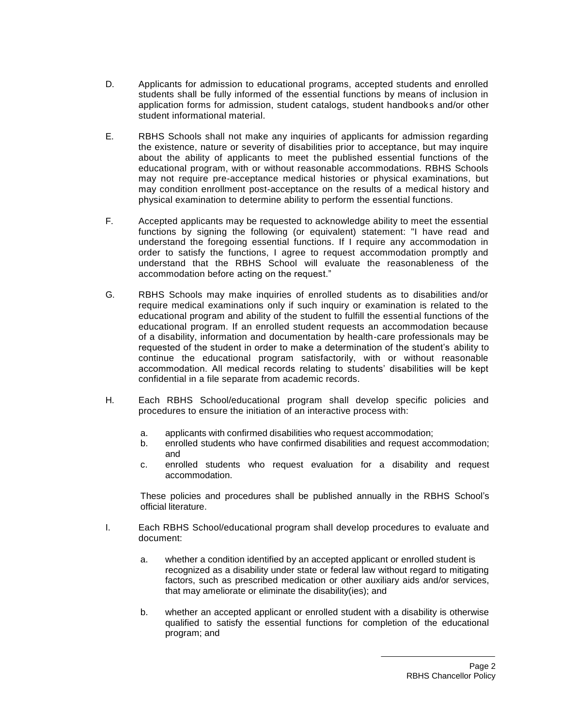- D. Applicants for admission to educational programs, accepted students and enrolled students shall be fully informed of the essential functions by means of inclusion in application forms for admission, student catalogs, student handbooks and/or other student informational material.
- E. RBHS Schools shall not make any inquiries of applicants for admission regarding the existence, nature or severity of disabilities prior to acceptance, but may inquire about the ability of applicants to meet the published essential functions of the educational program, with or without reasonable accommodations. RBHS Schools may not require pre-acceptance medical histories or physical examinations, but may condition enrollment post-acceptance on the results of a medical history and physical examination to determine ability to perform the essential functions.
- F. Accepted applicants may be requested to acknowledge ability to meet the essential functions by signing the following (or equivalent) statement: "I have read and understand the foregoing essential functions. If I require any accommodation in order to satisfy the functions, I agree to request accommodation promptly and understand that the RBHS School will evaluate the reasonableness of the accommodation before acting on the request."
- G. RBHS Schools may make inquiries of enrolled students as to disabilities and/or require medical examinations only if such inquiry or examination is related to the educational program and ability of the student to fulfill the essential functions of the educational program. If an enrolled student requests an accommodation because of a disability, information and documentation by health-care professionals may be requested of the student in order to make a determination of the student's ability to continue the educational program satisfactorily, with or without reasonable accommodation. All medical records relating to students' disabilities will be kept confidential in a file separate from academic records.
- H. Each RBHS School/educational program shall develop specific policies and procedures to ensure the initiation of an interactive process with:
	- a. applicants with confirmed disabilities who request accommodation;
	- b. enrolled students who have confirmed disabilities and request accommodation; and
	- c. enrolled students who request evaluation for a disability and request accommodation.

These policies and procedures shall be published annually in the RBHS School's official literature.

- I. Each RBHS School/educational program shall develop procedures to evaluate and document:
	- a. whether a condition identified by an accepted applicant or enrolled student is recognized as a disability under state or federal law without regard to mitigating factors, such as prescribed medication or other auxiliary aids and/or services, that may ameliorate or eliminate the disability(ies); and
	- b. whether an accepted applicant or enrolled student with a disability is otherwise qualified to satisfy the essential functions for completion of the educational program; and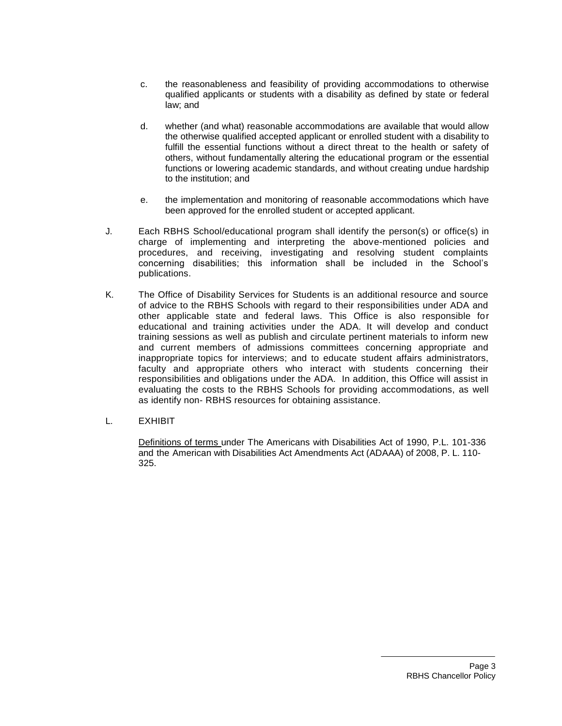- c. the reasonableness and feasibility of providing accommodations to otherwise qualified applicants or students with a disability as defined by state or federal law; and
- d. whether (and what) reasonable accommodations are available that would allow the otherwise qualified accepted applicant or enrolled student with a disability to fulfill the essential functions without a direct threat to the health or safety of others, without fundamentally altering the educational program or the essential functions or lowering academic standards, and without creating undue hardship to the institution; and
- e. the implementation and monitoring of reasonable accommodations which have been approved for the enrolled student or accepted applicant.
- J. Each RBHS School/educational program shall identify the person(s) or office(s) in charge of implementing and interpreting the above-mentioned policies and procedures, and receiving, investigating and resolving student complaints concerning disabilities; this information shall be included in the School's publications.
- K. The Office of Disability Services for Students is an additional resource and source of advice to the RBHS Schools with regard to their responsibilities under ADA and other applicable state and federal laws. This Office is also responsible for educational and training activities under the ADA. It will develop and conduct training sessions as well as publish and circulate pertinent materials to inform new and current members of admissions committees concerning appropriate and inappropriate topics for interviews; and to educate student affairs administrators, faculty and appropriate others who interact with students concerning their responsibilities and obligations under the ADA. In addition, this Office will assist in evaluating the costs to the RBHS Schools for providing accommodations, as well as identify non- RBHS resources for obtaining assistance.
- L. EXHIBIT

Definitions of terms under The Americans with Disabilities Act of 1990, P.L. 101-336 and the American with Disabilities Act Amendments Act (ADAAA) of 2008, P. L. 110- 325.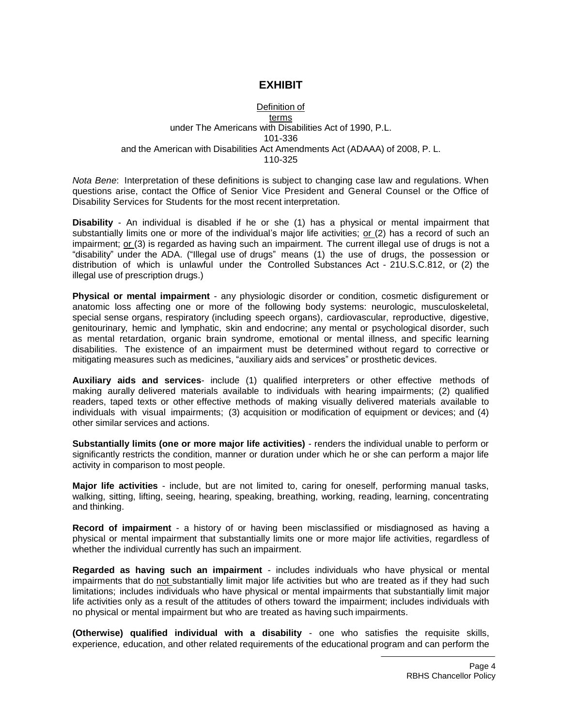# **EXHIBIT**

#### Definition of terms under The Americans with Disabilities Act of 1990, P.L. 101-336 and the American with Disabilities Act Amendments Act (ADAAA) of 2008, P. L. 110-325

*Nota Bene*: Interpretation of these definitions is subject to changing case law and regulations. When questions arise, contact the Office of Senior Vice President and General Counsel or the Office of Disability Services for Students for the most recent interpretation.

**Disability** - An individual is disabled if he or she (1) has a physical or mental impairment that substantially limits one or more of the individual's major life activities; or (2) has a record of such an impairment; or (3) is regarded as having such an impairment. The current illegal use of drugs is not a "disability" under the ADA. ("Illegal use of drugs" means (1) the use of drugs, the possession or distribution of which is unlawful under the Controlled Substances Act - 21U.S.C.812, or (2) the illegal use of prescription drugs.)

**Physical or mental impairment** - any physiologic disorder or condition, cosmetic disfigurement or anatomic loss affecting one or more of the following body systems: neurologic, musculoskeletal, special sense organs, respiratory (including speech organs), cardiovascular, reproductive, digestive, genitourinary, hemic and lymphatic, skin and endocrine; any mental or psychological disorder, such as mental retardation, organic brain syndrome, emotional or mental illness, and specific learning disabilities. The existence of an impairment must be determined without regard to corrective or mitigating measures such as medicines, "auxiliary aids and services" or prosthetic devices.

**Auxiliary aids and services**- include (1) qualified interpreters or other effective methods of making aurally delivered materials available to individuals with hearing impairments; (2) qualified readers, taped texts or other effective methods of making visually delivered materials available to individuals with visual impairments; (3) acquisition or modification of equipment or devices; and (4) other similar services and actions.

**Substantially limits (one or more major life activities)** - renders the individual unable to perform or significantly restricts the condition, manner or duration under which he or she can perform a major life activity in comparison to most people.

**Major life activities** - include, but are not limited to, caring for oneself, performing manual tasks, walking, sitting, lifting, seeing, hearing, speaking, breathing, working, reading, learning, concentrating and thinking.

**Record of impairment** - a history of or having been misclassified or misdiagnosed as having a physical or mental impairment that substantially limits one or more major life activities, regardless of whether the individual currently has such an impairment.

**Regarded as having such an impairment** - includes individuals who have physical or mental impairments that do not substantially limit major life activities but who are treated as if they had such limitations; includes individuals who have physical or mental impairments that substantially limit major life activities only as a result of the attitudes of others toward the impairment; includes individuals with no physical or mental impairment but who are treated as having such impairments.

**(Otherwise) qualified individual with a disability** - one who satisfies the requisite skills, experience, education, and other related requirements of the educational program and can perform the